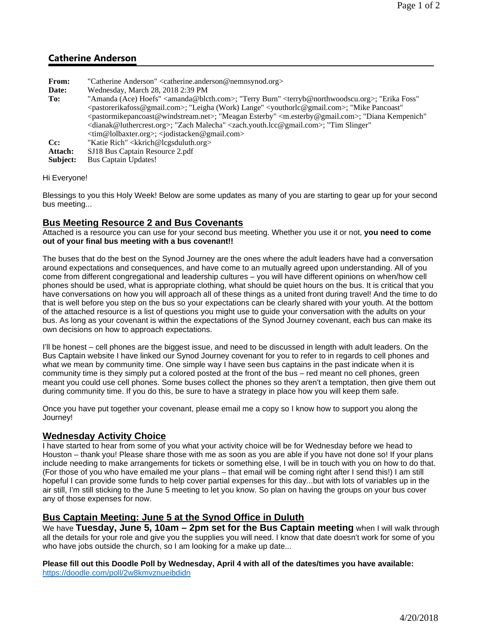# **Catherine Anderson**

| "Amanda (Ace) Hoefs" <amanda@blcth.com>; "Terry Burn" <terryb@northwoodscu.org>; "Erika Foss"</terryb@northwoodscu.org></amanda@blcth.com>               |
|----------------------------------------------------------------------------------------------------------------------------------------------------------|
|                                                                                                                                                          |
| <pastormikepancoast@windstream.net>; "Meagan Esterby" <m.esterby@gmail.com>; "Diana Kempenich"</m.esterby@gmail.com></pastormikepancoast@windstream.net> |
|                                                                                                                                                          |
|                                                                                                                                                          |
|                                                                                                                                                          |
|                                                                                                                                                          |
|                                                                                                                                                          |
|                                                                                                                                                          |

#### Hi Everyone!

Blessings to you this Holy Week! Below are some updates as many of you are starting to gear up for your second bus meeting...

#### **Bus Meeting Resource 2 and Bus Covenants**

Attached is a resource you can use for your second bus meeting. Whether you use it or not, **you need to come out of your final bus meeting with a bus covenant!!**

The buses that do the best on the Synod Journey are the ones where the adult leaders have had a conversation around expectations and consequences, and have come to an mutually agreed upon understanding. All of you come from different congregational and leadership cultures – you will have different opinions on when/how cell phones should be used, what is appropriate clothing, what should be quiet hours on the bus. It is critical that you have conversations on how you will approach all of these things as a united front during travel! And the time to do that is well before you step on the bus so your expectations can be clearly shared with your youth. At the bottom of the attached resource is a list of questions you might use to guide your conversation with the adults on your bus. As long as your covenant is within the expectations of the Synod Journey covenant, each bus can make its own decisions on how to approach expectations.

I'll be honest – cell phones are the biggest issue, and need to be discussed in length with adult leaders. On the Bus Captain website I have linked our Synod Journey covenant for you to refer to in regards to cell phones and what we mean by community time. One simple way I have seen bus captains in the past indicate when it is community time is they simply put a colored posted at the front of the bus – red meant no cell phones, green meant you could use cell phones. Some buses collect the phones so they aren't a temptation, then give them out during community time. If you do this, be sure to have a strategy in place how you will keep them safe.

Once you have put together your covenant, please email me a copy so I know how to support you along the Journey!

## **Wednesday Activity Choice**

I have started to hear from some of you what your activity choice will be for Wednesday before we head to Houston – thank you! Please share those with me as soon as you are able if you have not done so! If your plans include needing to make arrangements for tickets or something else, I will be in touch with you on how to do that. (For those of you who have emailed me your plans – that email will be coming right after I send this!) I am still hopeful I can provide some funds to help cover partial expenses for this day...but with lots of variables up in the air still, I'm still sticking to the June 5 meeting to let you know. So plan on having the groups on your bus cover any of those expenses for now.

## **Bus Captain Meeting: June 5 at the Synod Office in Duluth**

We have **Tuesday, June 5, 10am – 2pm set for the Bus Captain meeting** when I will walk through all the details for your role and give you the supplies you will need. I know that date doesn't work for some of you who have jobs outside the church, so I am looking for a make up date...

**Please fill out this Doodle Poll by Wednesday, April 4 with all of the dates/times you have available:** https://doodle.com/poll/2w8kmvznueibdidn